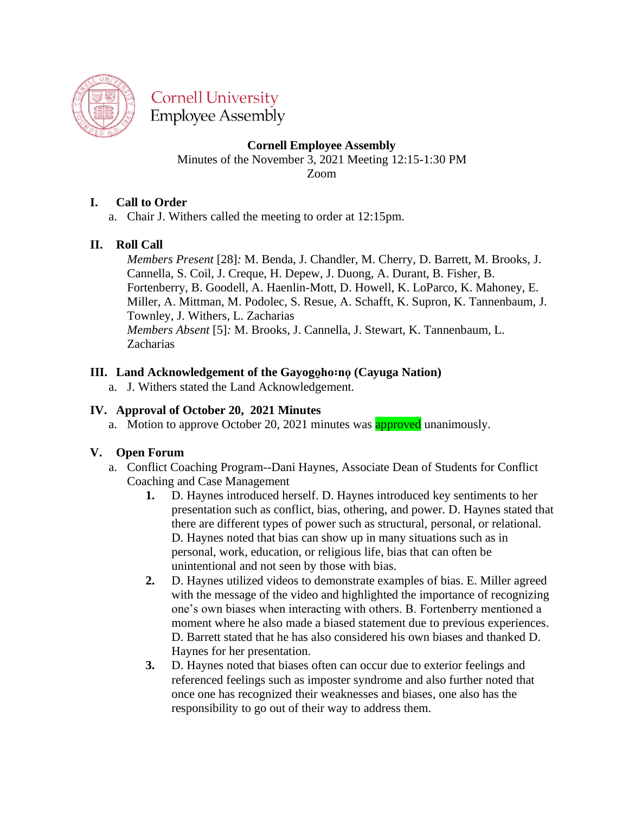

**Cornell University Employee Assembly** 

**Cornell Employee Assembly**

Minutes of the November 3, 2021 Meeting 12:15-1:30 PM Zoom

# **I. Call to Order**

a. Chair J. Withers called the meeting to order at 12:15pm.

## **II. Roll Call**

*Members Present* [28]*:* M. Benda, J. Chandler, M. Cherry, D. Barrett, M. Brooks, J. Cannella, S. Coil, J. Creque, H. Depew, J. Duong, A. Durant, B. Fisher, B. Fortenberry, B. Goodell, A. Haenlin-Mott, D. Howell, K. LoParco, K. Mahoney, E. Miller, A. Mittman, M. Podolec, S. Resue, A. Schafft, K. Supron, K. Tannenbaum, J. Townley, J. Withers, L. Zacharias *Members Absent* [5]*:* M. Brooks, J. Cannella, J. Stewart, K. Tannenbaum, L. Zacharias

## **III.** Land Acknowledgement of the Gayogoho:no (Cayuga Nation)

a. J. Withers stated the Land Acknowledgement.

### **IV. Approval of October 20, 2021 Minutes**

a. Motion to approve October 20, 2021 minutes was **approved** unanimously.

### **V. Open Forum**

- a. Conflict Coaching Program--Dani Haynes, Associate Dean of Students for Conflict Coaching and Case Management
	- **1.** D. Haynes introduced herself. D. Haynes introduced key sentiments to her presentation such as conflict, bias, othering, and power. D. Haynes stated that there are different types of power such as structural, personal, or relational. D. Haynes noted that bias can show up in many situations such as in personal, work, education, or religious life, bias that can often be unintentional and not seen by those with bias.
	- **2.** D. Haynes utilized videos to demonstrate examples of bias. E. Miller agreed with the message of the video and highlighted the importance of recognizing one's own biases when interacting with others. B. Fortenberry mentioned a moment where he also made a biased statement due to previous experiences. D. Barrett stated that he has also considered his own biases and thanked D. Haynes for her presentation.
	- **3.** D. Haynes noted that biases often can occur due to exterior feelings and referenced feelings such as imposter syndrome and also further noted that once one has recognized their weaknesses and biases, one also has the responsibility to go out of their way to address them.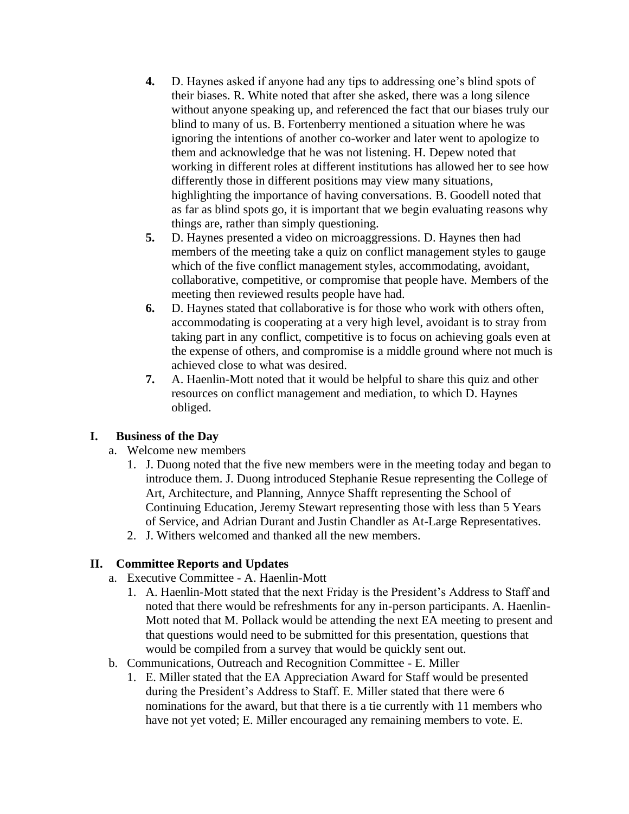- **4.** D. Haynes asked if anyone had any tips to addressing one's blind spots of their biases. R. White noted that after she asked, there was a long silence without anyone speaking up, and referenced the fact that our biases truly our blind to many of us. B. Fortenberry mentioned a situation where he was ignoring the intentions of another co-worker and later went to apologize to them and acknowledge that he was not listening. H. Depew noted that working in different roles at different institutions has allowed her to see how differently those in different positions may view many situations, highlighting the importance of having conversations. B. Goodell noted that as far as blind spots go, it is important that we begin evaluating reasons why things are, rather than simply questioning.
- **5.** D. Haynes presented a video on microaggressions. D. Haynes then had members of the meeting take a quiz on conflict management styles to gauge which of the five conflict management styles, accommodating, avoidant, collaborative, competitive, or compromise that people have. Members of the meeting then reviewed results people have had.
- **6.** D. Haynes stated that collaborative is for those who work with others often, accommodating is cooperating at a very high level, avoidant is to stray from taking part in any conflict, competitive is to focus on achieving goals even at the expense of others, and compromise is a middle ground where not much is achieved close to what was desired.
- **7.** A. Haenlin-Mott noted that it would be helpful to share this quiz and other resources on conflict management and mediation, to which D. Haynes obliged.

### **I. Business of the Day**

- a. Welcome new members
	- 1. J. Duong noted that the five new members were in the meeting today and began to introduce them. J. Duong introduced Stephanie Resue representing the College of Art, Architecture, and Planning, Annyce Shafft representing the School of Continuing Education, Jeremy Stewart representing those with less than 5 Years of Service, and Adrian Durant and Justin Chandler as At-Large Representatives.
	- 2. J. Withers welcomed and thanked all the new members.

# **II. Committee Reports and Updates**

- a. Executive Committee A. Haenlin-Mott
	- 1. A. Haenlin-Mott stated that the next Friday is the President's Address to Staff and noted that there would be refreshments for any in-person participants. A. Haenlin-Mott noted that M. Pollack would be attending the next EA meeting to present and that questions would need to be submitted for this presentation, questions that would be compiled from a survey that would be quickly sent out.
- b. Communications, Outreach and Recognition Committee E. Miller
	- 1. E. Miller stated that the EA Appreciation Award for Staff would be presented during the President's Address to Staff. E. Miller stated that there were 6 nominations for the award, but that there is a tie currently with 11 members who have not yet voted; E. Miller encouraged any remaining members to vote. E.